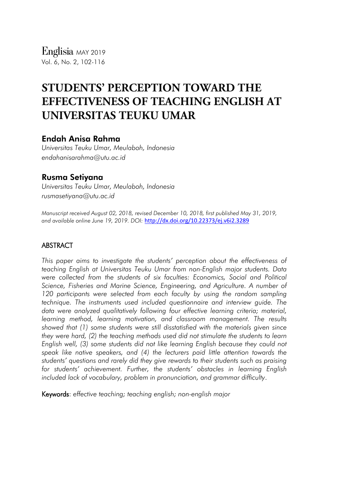# Endah Anisa Rahma

*Universitas Teuku Umar, Meulaboh, Indonesia endahanisarahma@utu.ac.id*

# Rusma Setiyana

*Universitas Teuku Umar, Meulaboh, Indonesia rusmasetiyana@utu.ac.id*

*Manuscript received August 02, 2018, revised December 10, 2018, first published May 31, 2019, and available online June 19, 2019. DOI:* <http://dx.doi.org/10.22373/ej.v6i2.3289>

# ABSTRACT

*This paper aims to investigate the students' perception about the effectiveness of teaching English at Universitas Teuku Umar from non-English major students. Data were collected from the students of six faculties: Economics, Social and Political Science, Fisheries and Marine Science, Engineering, and Agriculture. A number of*  120 participants were selected from each faculty by using the random sampling *technique. The instruments used included questionnaire and interview guide. The data were analyzed qualitatively following four effective learning criteria; material, learning method, learning motivation, and classroom management. The results showed that (1) some students were still disstatisfied with the materials given since they were hard, (2) the teaching methods used did not stimulate the students to learn English well, (3) some students did not like learning English because they could not speak like native speakers, and (4) the lecturers paid little attention towards the students' questions and rarely did they give rewards to their students such as praising for students' achievement. Further, the students' obstacles in learning English included lack of vocabulary, problem in pronunciation, and grammar difficulty*.

Keywords: *effective teaching; teaching english; non-english major*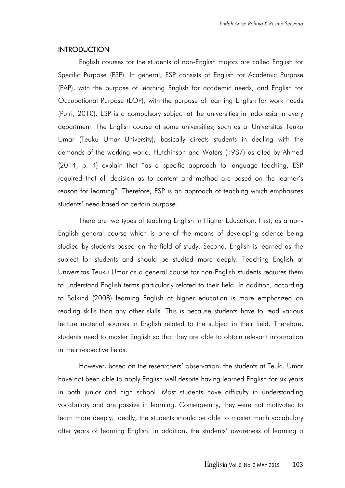### **INTRODUCTION**

English courses for the students of non-English majors are called English for Specific Purpose (ESP). In general, ESP consists of English for Academic Purpose (EAP), with the purpose of learning English for academic needs, and English for Occupational Purpose (EOP), with the purpose of learning English for work needs (Putri, 2010). ESP is a compulsory subject at the universities in Indonesia in every department. The English course at some universities, such as at Universitas Teuku Umar (Teuku Umar University), basically directs students in dealing with the demands of the working world. Hutchinson and Waters (1987) as cited by Ahmed (2014, p. 4) explain that "as a specific approach to language teaching, ESP required that all decision as to content and method are based on the learner's reason for learning". Therefore, ESP is an approach of teaching which emphasizes students' need based on certain purpose.

There are two types of teaching English in Higher Education. First, as a non-English general course which is one of the means of developing science being studied by students based on the field of study. Second, English is learned as the subject for students and should be studied more deeply. Teaching English at Universitas Teuku Umar as a general course for non-English students requires them to understand English terms particularly related to their field. In addition, according to Salkind (2008) learning English at higher education is more emphasized on reading skills than any other skills. This is because students have to read various lecture material sources in English related to the subject in their field. Therefore, students need to master English so that they are able to obtain relevant information in their respective fields.

However, based on the researchers' observation, the students at Teuku Umar have not been able to apply English well despite having learned English for six years in both junior and high school. Most students have difficulty in understanding vocabulary and are passive in learning. Consequently, they were not motivated to learn more deeply. Ideally, the students should be able to master much vocabulary after years of learning English. In addition, the students' awareness of learning a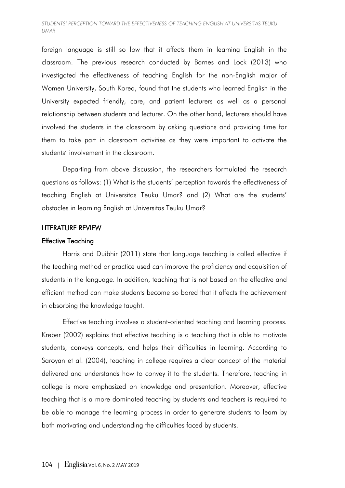foreign language is still so low that it affects them in learning English in the classroom. The previous research conducted by Barnes and Lock (2013) who investigated the effectiveness of teaching English for the non-English major of Women University, South Korea, found that the students who learned English in the University expected friendly, care, and patient lecturers as well as a personal relationship between students and lecturer. On the other hand, lecturers should have involved the students in the classroom by asking questions and providing time for them to take part in classroom activities as they were important to activate the students' involvement in the classroom.

Departing from above discussion, the researchers formulated the research questions as follows: (1) What is the students' perception towards the effectiveness of teaching English at Universitas Teuku Umar? and (2) What are the students' obstacles in learning English at Universitas Teuku Umar?

### LITERATURE REVIEW

#### Effective Teaching

Harris and Duibhir (2011) state that language teaching is called effective if the teaching method or practice used can improve the proficiency and acquisition of students in the language. In addition, teaching that is not based on the effective and efficient method can make students become so bored that it affects the achievement in absorbing the knowledge taught.

Effective teaching involves a student-oriented teaching and learning process. Kreber (2002) explains that effective teaching is a teaching that is able to motivate students, conveys concepts, and helps their difficulties in learning. According to Saroyan et al. (2004), teaching in college requires a clear concept of the material delivered and understands how to convey it to the students. Therefore, teaching in college is more emphasized on knowledge and presentation. Moreover, effective teaching that is a more dominated teaching by students and teachers is required to be able to manage the learning process in order to generate students to learn by both motivating and understanding the difficulties faced by students.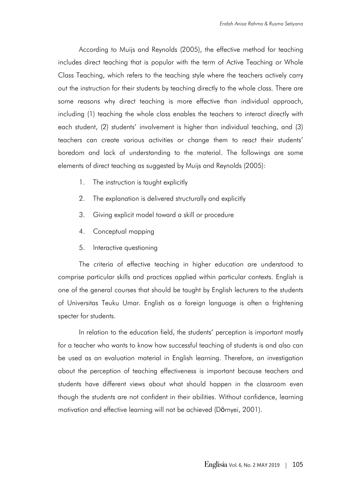According to Muijs and Reynolds (2005), the effective method for teaching includes direct teaching that is popular with the term of Active Teaching or Whole Class Teaching, which refers to the teaching style where the teachers actively carry out the instruction for their students by teaching directly to the whole class. There are some reasons why direct teaching is more effective than individual approach, including (1) teaching the whole class enables the teachers to interact directly with each student, (2) students' involvement is higher than individual teaching, and (3) teachers can create various activities or change them to react their students' boredom and lack of understanding to the material. The followings are some elements of direct teaching as suggested by Muijs and Reynolds (2005):

- 1. The instruction is taught explicitly
- 2. The explanation is delivered structurally and explicitly
- 3. Giving explicit model toward a skill or procedure
- 4. Conceptual mapping
- 5. Interactive questioning

The criteria of effective teaching in higher education are understood to comprise particular skills and practices applied within particular contexts. English is one of the general courses that should be taught by English lecturers to the students of Universitas Teuku Umar. English as a foreign language is often a frightening specter for students.

In relation to the education field, the students' perception is important mostly for a teacher who wants to know how successful teaching of students is and also can be used as an evaluation material in English learning. Therefore, an investigation about the perception of teaching effectiveness is important because teachers and students have different views about what should happen in the classroom even though the students are not confident in their abilities. Without confidence, learning motivation and effective learning will not be achieved (Dörnyei, 2001).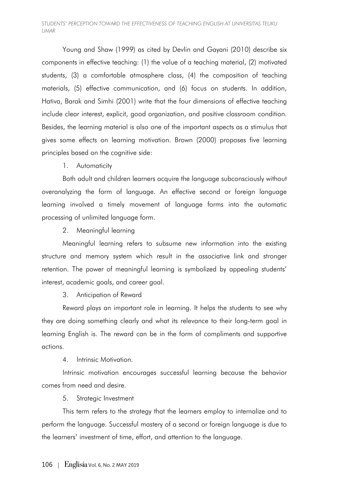Young and Shaw (1999) as cited by Devlin and Gayani (2010) describe six components in effective teaching: (1) the value of a teaching material, (2) motivated students, (3) a comfortable atmosphere class, (4) the composition of teaching materials, (5) effective communication, and (6) focus on students. In addition, Hativa, Barak and Simhi (2001) write that the four dimensions of effective teaching include clear interest, explicit, good organization, and positive classroom condition. Besides, the learning material is also one of the important aspects as a stimulus that gives some effects on learning motivation. Brown (2000) proposes five learning principles based on the cognitive side:

# 1. Automaticity

Both adult and children learners acquire the language subconsciously without overanalyzing the form of language. An effective second or foreign language learning involved a timely movement of language forms into the automatic processing of unlimited language form.

2. Meaningful learning

Meaningful learning refers to subsume new information into the existing structure and memory system which result in the associative link and stronger retention. The power of meaningful learning is symbolized by appealing students' interest, academic goals, and career goal.

3. Anticipation of Reward

Reward plays an important role in learning. It helps the students to see why they are doing something clearly and what its relevance to their long-term goal in learning English is. The reward can be in the form of compliments and supportive actions.

4. Intrinsic Motivation.

Intrinsic motivation encourages successful learning because the behavior comes from need and desire.

5. Strategic Investment

This term refers to the strategy that the learners employ to internalize and to perform the language. Successful mastery of a second or foreign language is due to the learners' investment of time, effort, and attention to the language.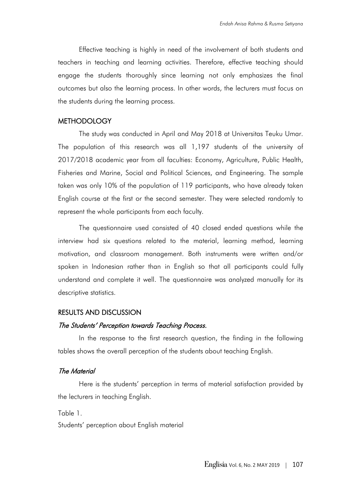Effective teaching is highly in need of the involvement of both students and teachers in teaching and learning activities. Therefore, effective teaching should engage the students thoroughly since learning not only emphasizes the final outcomes but also the learning process. In other words, the lecturers must focus on the students during the learning process.

### **METHODOLOGY**

The study was conducted in April and May 2018 at Universitas Teuku Umar. The population of this research was all 1,197 students of the university of 2017/2018 academic year from all faculties: Economy, Agriculture, Public Health, Fisheries and Marine, Social and Political Sciences, and Engineering. The sample taken was only 10% of the population of 119 participants, who have already taken English course at the first or the second semester. They were selected randomly to represent the whole participants from each faculty.

The questionnaire used consisted of 40 closed ended questions while the interview had six questions related to the material, learning method, learning motivation, and classroom management. Both instruments were written and/or spoken in Indonesian rather than in English so that all participants could fully understand and complete it well. The questionnaire was analyzed manually for its descriptive statistics.

#### RESULTS AND DISCUSSION

#### The Students' Perception towards Teaching Process.

In the response to the first research question, the finding in the following tables shows the overall perception of the students about teaching English.

# The Material

Here is the students' perception in terms of material satisfaction provided by the lecturers in teaching English.

Table 1.

Students' perception about English material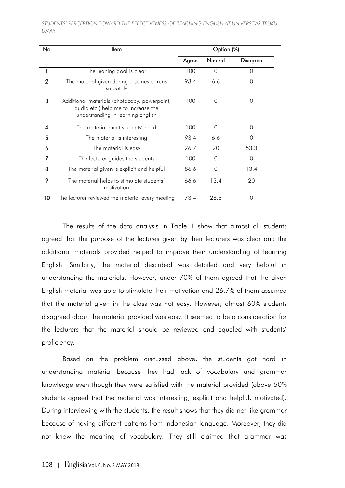| No             | Item                                                                                                                     | Option (%) |          |                 |  |
|----------------|--------------------------------------------------------------------------------------------------------------------------|------------|----------|-----------------|--|
|                |                                                                                                                          | Agree      | Neutral  | <b>Disagree</b> |  |
|                | The leaning goal is clear                                                                                                | 100        | 0        | $\Omega$        |  |
| $\overline{2}$ | The material given during a semester runs<br>smoothly                                                                    | 93.4       | 6.6      | $\Omega$        |  |
| 3              | Additional materials (photocopy, powerpoint,<br>audio etc.) help me to increase the<br>understanding in learning English | 100        | 0        | 0               |  |
| 4              | The material meet students' need                                                                                         | 100        | 0        | 0               |  |
| 5              | The material is interesting                                                                                              | 93.4       | 6.6      | $\Omega$        |  |
| 6              | The material is easy                                                                                                     | 26.7       | 20       | 53.3            |  |
|                | The lecturer guides the students                                                                                         | 100        | $\Omega$ | $\overline{0}$  |  |
| 8              | The material given is explicit and helpful                                                                               | 86.6       | 0        | 13.4            |  |
| 9              | The material helps to stimulate students'<br>motivation                                                                  | 66.6       | 13.4     | 20              |  |
| 10             | The lecturer reviewed the material every meeting                                                                         | 73.4       | 26.6     | 0               |  |

The results of the data analysis in Table 1 show that almost all students agreed that the purpose of the lectures given by their lecturers was clear and the additional materials provided helped to improve their understanding of learning English. Similarly, the material described was detailed and very helpful in understanding the materials. However, under 70% of them agreed that the given English material was able to stimulate their motivation and 26.7% of them assumed that the material given in the class was not easy. However, almost 60% students disagreed about the material provided was easy. It seemed to be a consideration for the lecturers that the material should be reviewed and equaled with students' proficiency.

Based on the problem discussed above, the students got hard in understanding material because they had lack of vocabulary and grammar knowledge even though they were satisfied with the material provided (above 50% students agreed that the material was interesting, explicit and helpful, motivated). During interviewing with the students, the result shows that they did not like grammar because of having different patterns from Indonesian language. Moreover, they did not know the meaning of vocabulary. They still claimed that grammar was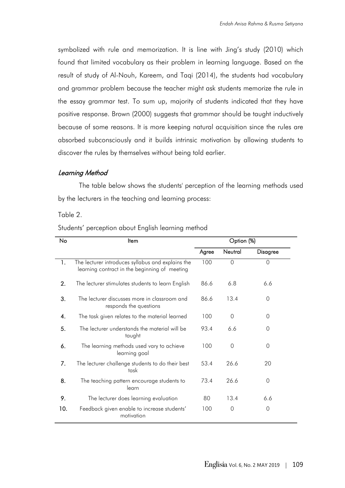symbolized with rule and memorization. It is line with Jing's study (2010) which found that limited vocabulary as their problem in learning language. Based on the result of study of Al-Nouh, Kareem, and Taqi (2014), the students had vocabulary and grammar problem because the teacher might ask students memorize the rule in the essay grammar test. To sum up, majority of students indicated that they have positive response. Brown (2000) suggests that grammar should be taught inductively because of some reasons. It is more keeping natural acquisition since the rules are absorbed subconsciously and it builds intrinsic motivation by allowing students to discover the rules by themselves without being told earlier.

#### Learning Method

The table below shows the students' perception of the learning methods used by the lecturers in the teaching and learning process:

Table 2.

| No  | Item                                                                                               | Option (%) |          |          |  |
|-----|----------------------------------------------------------------------------------------------------|------------|----------|----------|--|
|     |                                                                                                    | Agree      | Neutral  | Disagree |  |
| 1.  | The lecturer introduces syllabus and explains the<br>learning contract in the beginning of meeting | 100        | $\Omega$ | $\Omega$ |  |
| 2.  | The lecturer stimulates students to learn English                                                  | 86.6       | 6.8      | 6.6      |  |
| 3.  | The lecturer discusses more in classroom and<br>responds the questions                             | 86.6       | 13.4     | 0        |  |
| 4.  | The task given relates to the material learned                                                     | 100        | 0        | 0        |  |
| 5.  | The lecturer understands the material will be<br>taught                                            | 93.4       | 6.6      | 0        |  |
| 6.  | The learning methods used vary to achieve<br>learning goal                                         | 100        | 0        | 0        |  |
| 7.  | The lecturer challenge students to do their best<br>task                                           | 53.4       | 26.6     | 20       |  |
| 8.  | The teaching pattern encourage students to<br>learn                                                | 73.4       | 26.6     | 0        |  |
| 9.  | The lecturer does learning evaluation                                                              | 80         | 13.4     | 6.6      |  |
| 10. | Feedback given enable to increase students'<br>motivation                                          | 100        | 0        | 0        |  |

Students' perception about English learning method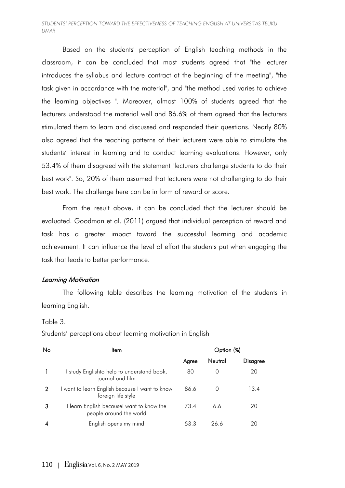Based on the students' perception of English teaching methods in the classroom, it can be concluded that most students agreed that "the lecturer introduces the syllabus and lecture contract at the beginning of the meeting", "the task given in accordance with the material", and "the method used varies to achieve the learning objectives ". Moreover, almost 100% of students agreed that the lecturers understood the material well and 86.6% of them agreed that the lecturers stimulated them to learn and discussed and responded their questions. Nearly 80% also agreed that the teaching patterns of their lecturers were able to stimulate the students' interest in learning and to conduct learning evaluations. However, only 53.4% of them disagreed with the statement "lecturers challenge students to do their best work". So, 20% of them assumed that lecturers were not challenging to do their best work. The challenge here can be in form of reward or score.

From the result above, it can be concluded that the lecturer should be evaluated. Goodman et al. (2011) argued that individual perception of reward and task has a greater impact toward the successful learning and academic achievement. It can influence the level of effort the students put when engaging the task that leads to better performance.

# Learning Motivation

The following table describes the learning motivation of the students in learning English.

#### Table 3.

Students' perceptions about learning motivation in English

| No             | ltem                                                                 | Option (%) |         |                 |  |
|----------------|----------------------------------------------------------------------|------------|---------|-----------------|--|
|                |                                                                      | Agree      | Neutral | <b>Disagree</b> |  |
|                | study Englishto help to understand book,<br>journal and film         | 80         |         | 20              |  |
| $\overline{2}$ | I want to learn English because I want to know<br>foreign life style | 86.6       |         | 13.4            |  |
| 3              | I learn English becausel want to know the<br>people around the world | 734        | 6.6     | 20              |  |
|                | English opens my mind                                                | 53.3       | 26.6    | 20              |  |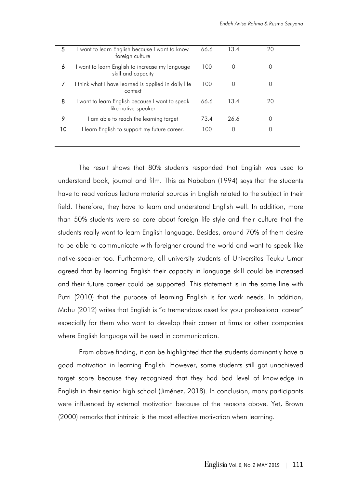The result shows that 80% students responded that English was used to understand book, journal and film. This as Nababan (1994) says that the students have to read various lecture material sources in English related to the subject in their field. Therefore, they have to learn and understand English well. In addition, more than 50% students were so care about foreign life style and their culture that the students really want to learn English language. Besides, around 70% of them desire to be able to communicate with foreigner around the world and want to speak like native-speaker too. Furthermore, all university students of Universitas Teuku Umar agreed that by learning English their capacity in language skill could be increased and their future career could be supported. This statement is in the same line with Putri (2010) that the purpose of learning English is for work needs. In addition, Mahu (2012) writes that English is "a tremendous asset for your professional career" especially for them who want to develop their career at firms or other companies where English language will be used in communication.

From above finding, it can be highlighted that the students dominantly have a good motivation in learning English. However, some students still got unachieved target score because they recognized that they had bad level of knowledge in English in their senior high school (Jiménez, 2018). In conclusion, many participants were influenced by external motivation because of the reasons above. Yet, Brown (2000) remarks that intrinsic is the most effective motivation when learning.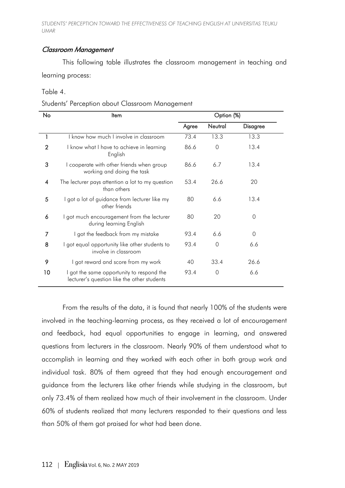# Classroom Management

This following table illustrates the classroom management in teaching and learning process:

Table 4.

Students' Perception about Classroom Management

| No             | ltem                                                                                   | Option (%) |         |                 |  |
|----------------|----------------------------------------------------------------------------------------|------------|---------|-----------------|--|
|                |                                                                                        | Agree      | Neutral | <b>Disagree</b> |  |
|                | I know how much I involve in classroom                                                 | 73.4       | 13.3    | 13.3            |  |
| $\overline{2}$ | I know what I have to achieve in learning<br>English                                   | 86.6       | 0       | 13.4            |  |
| 3              | I cooperate with other friends when group<br>working and doing the task                | 86.6       | 6.7     | 13.4            |  |
| 4              | The lecturer pays attention a lot to my question<br>than others                        | 53.4       | 26.6    | 20              |  |
| 5              | I got a lot of guidance from lecturer like my<br>other friends                         | 80         | 6.6     | 13.4            |  |
| 6              | I got much encouragement from the lecturer<br>during learning English                  | 80         | 20      | 0               |  |
| 7              | I got the feedback from my mistake                                                     | 93.4       | 6.6     | $\Omega$        |  |
| 8              | I got equal opportunity like other students to<br>involve in classroom                 | 93.4       | 0       | 6.6             |  |
| 9              | I got reward and score from my work                                                    | 40         | 33.4    | 26.6            |  |
| 10             | got the same opportunity to respond the<br>lecturer's question like the other students | 93.4       | 0       | 6.6             |  |

From the results of the data, it is found that nearly 100% of the students were involved in the teaching-learning process, as they received a lot of encouragement and feedback, had equal opportunities to engage in learning, and answered questions from lecturers in the classroom. Nearly 90% of them understood what to accomplish in learning and they worked with each other in both group work and individual task. 80% of them agreed that they had enough encouragement and guidance from the lecturers like other friends while studying in the classroom, but only 73.4% of them realized how much of their involvement in the classroom. Under 60% of students realized that many lecturers responded to their questions and less than 50% of them got praised for what had been done.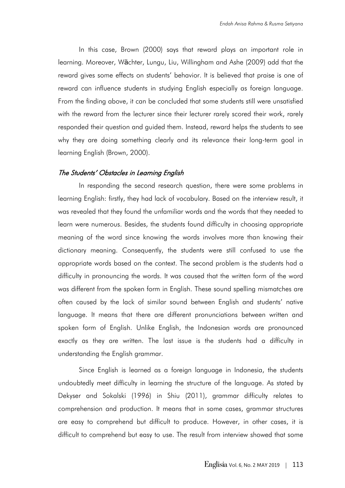In this case, Brown (2000) says that reward plays an important role in learning. Moreover, Wächter, Lungu, Liu, Willingham and Ashe (2009) add that the reward gives some effects on students' behavior. It is believed that praise is one of reward can influence students in studying English especially as foreign language. From the finding above, it can be concluded that some students still were unsatisfied with the reward from the lecturer since their lecturer rarely scored their work, rarely responded their question and guided them. Instead, reward helps the students to see why they are doing something clearly and its relevance their long-term goal in learning English (Brown, 2000).

#### The Students' Obstacles in Learning English

In responding the second research question, there were some problems in learning English: firstly, they had lack of vocabulary. Based on the interview result, it was revealed that they found the unfamiliar words and the words that they needed to learn were numerous. Besides, the students found difficulty in choosing appropriate meaning of the word since knowing the words involves more than knowing their dictionary meaning. Consequently, the students were still confused to use the appropriate words based on the context. The second problem is the students had a difficulty in pronouncing the words. It was caused that the written form of the word was different from the spoken form in English. These sound spelling mismatches are often caused by the lack of similar sound between English and students' native language. It means that there are different pronunciations between written and spoken form of English. Unlike English, the Indonesian words are pronounced exactly as they are written. The last issue is the students had a difficulty in understanding the English grammar.

Since English is learned as a foreign language in Indonesia, the students undoubtedly meet difficulty in learning the structure of the language. As stated by Dekyser and Sokalski (1996) in Shiu (2011), grammar difficulty relates to comprehension and production. It means that in some cases, grammar structures are easy to comprehend but difficult to produce. However, in other cases, it is difficult to comprehend but easy to use. The result from interview showed that some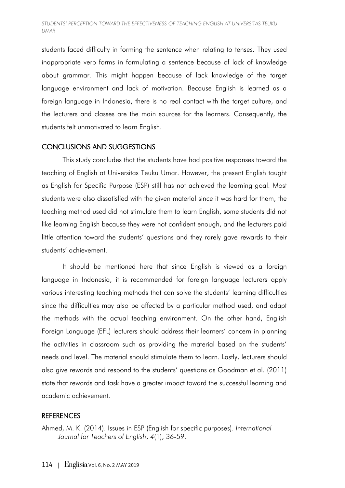students faced difficulty in forming the sentence when relating to tenses. They used inappropriate verb forms in formulating a sentence because of lack of knowledge about grammar. This might happen because of lack knowledge of the target language environment and lack of motivation. Because English is learned as a foreign language in Indonesia, there is no real contact with the target culture, and the lecturers and classes are the main sources for the learners. Consequently, the students felt unmotivated to learn English.

# CONCLUSIONS AND SUGGESTIONS

This study concludes that the students have had positive responses toward the teaching of English at Universitas Teuku Umar. However, the present English taught as English for Specific Purpose (ESP) still has not achieved the learning goal. Most students were also dissatisfied with the given material since it was hard for them, the teaching method used did not stimulate them to learn English, some students did not like learning English because they were not confident enough, and the lecturers paid little attention toward the students' questions and they rarely gave rewards to their students' achievement.

It should be mentioned here that since English is viewed as a foreign language in Indonesia, it is recommended for foreign language lecturers apply various interesting teaching methods that can solve the students' learning difficulties since the difficulties may also be affected by a particular method used, and adapt the methods with the actual teaching environment. On the other hand, English Foreign Language (EFL) lecturers should address their learners' concern in planning the activities in classroom such as providing the material based on the students' needs and level. The material should stimulate them to learn. Lastly, lecturers should also give rewards and respond to the students' questions as Goodman et al. (2011) state that rewards and task have a greater impact toward the successful learning and academic achievement.

# **REFERENCES**

Ahmed, M. K. (2014). Issues in ESP (English for specific purposes). *International Journal for Teachers of English*, *4*(1), 36-59.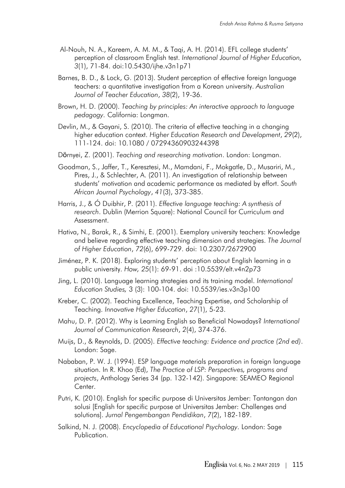- Al-Nouh, N. A., Kareem, A. M. M., & Taqi, A. H. (2014). EFL college students' perception of classroom English test. *International Journal of Higher Education, 3*(1), 71-84. doi:10.5430/ijhe.v3n1p71
- Barnes, B. D., & Lock, G. (2013). Student perception of effective foreign language teachers: a quantitative investigation from a Korean university. *Australian Journal of Teacher Education*, *38*(2), 19-36.
- Brown, H. D. (2000). *Teaching by principles: An interactive approach to language pedagogy.* California: Longman.
- Devlin, M., & Gayani, S. (2010). The criteria of effective teaching in a changing higher education context. *Higher Education Research and Development*, *29*(2), 111-124. doi: 10.1080 / 07294360903244398
- Dӧrnyei, Z. (2001). *Teaching and researching motivation*. London: Longman.
- Goodman, S., Jaffer, T., Keresztesi, M., Mamdani, F., Mokgatle, D., Musariri, M., Pires, J., & Schlechter, A. (2011). An investigation of relationship between students' motivation and academic performance as mediated by effort. *South African Journal Psychology*, *41*(3), 373-385.
- Harris, J., & Ó Duibhir, P. (2011). *Effective language teaching: A synthesis of research*. Dublin (Merrion Square): National Council for Curriculum and Assessment.
- Hativa, N., Barak, R., & Simhi, E. (2001). Exemplary university teachers: Knowledge and believe regarding effective teaching dimension and strategies. *The Journal of Higher Education*, *72*(6), 699-729. doi: 10.2307/2672900
- Jiménez, P. K. (2018). Exploring students' perception about English learning in a public university. *How, 25*(1): 69-91. doi :10.5539/elt.v4n2p73
- Jing, L. (2010). Language learning strategies and its training model. *International Education Studies,* 3 (3): 100-104. doi: 10.5539/ies.v3n3p100
- Kreber, C. (2002). Teaching Excellence, Teaching Expertise, and Scholarship of Teaching. *Innovative Higher Education*, *27*(1), 5-23.
- Mahu, D. P. (2012). Why is Learning English so Beneficial Nowadays? *International Journal of Communication Research*, *2*(4), 374-376.
- Muijs, D., & Reynolds, D. (2005). *Effective teaching: Evidence and practice (2nd ed)*. London: Sage.
- Nababan, P. W. J. (1994). ESP language materials preparation in foreign language situation. In R. Khoo (Ed), *The Practice of LSP: Perspectives, programs and projects*, Anthology Series 34 (pp. 132-142). Singapore: SEAMEO Regional Center.
- Putri, K. (2010). English for specific purpose di Universitas Jember: Tantangan dan solusi [English for specific purpose at Universitas Jember: Challenges and solutions]. *Jurnal Pengembangan Pendidikan*, *7*(2), 182-189.
- Salkind, N. J. (2008). *Encyclopedia of Educational Psychology.* London: Sage Publication.